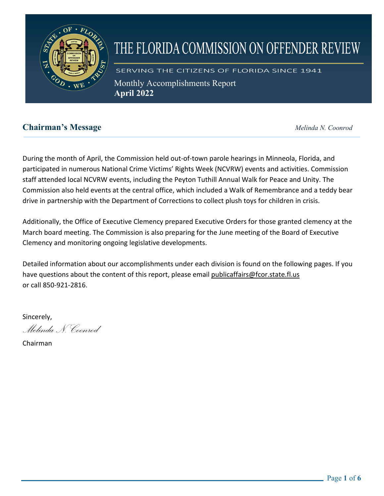

# THE FLORIDA COMMISSION ON OFFENDER REVIEW

SERVING THE CITIZENS OF FLORIDA SINCE 1941 Monthly Accomplishments Report **April 2022** 

# **Chairman's Message** *Melinda N. Coonrod*

During the month of April, the Commission held out-of-town parole hearings in Minneola, Florida, and participated in numerous National Crime Victims' Rights Week (NCVRW) events and activities. Commission staff attended local NCVRW events, including the Peyton Tuthill Annual Walk for Peace and Unity. The Commission also held events at the central office, which included a Walk of Remembrance and a teddy bear drive in partnership with the Department of Corrections to collect plush toys for children in crisis.

Additionally, the Office of Executive Clemency prepared Executive Orders for those granted clemency at the March board meeting. The Commission is also preparing for the June meeting of the Board of Executive Clemency and monitoring ongoing legislative developments.

Detailed information about our accomplishments under each division is found on the following pages. If you have questions about the content of this report, please email publicaffairs@fcor.state.fl.us or call 850-921-2816.

Sincerely,

*Melinda N. Coonrod*

Chairman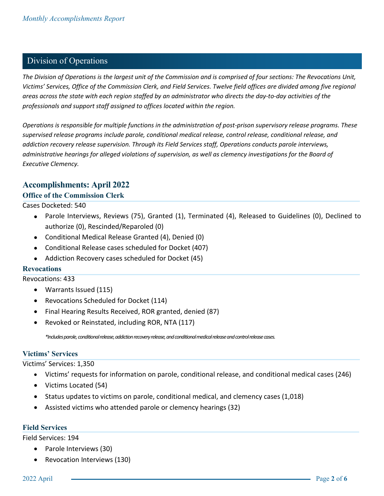## Division of Operations

*The Division of Operations is the largest unit of the Commission and is comprised of four sections: The Revocations Unit, Victims' Services, Office of the Commission Clerk, and Field Services. Twelve field offices are divided among five regional areas across the state with each region staffed by an administrator who directs the day-to-day activities of the professionals and support staff assigned to offices located within the region.*

*Operations is responsible for multiple functions in the administration of post-prison supervisory release programs. These supervised release programs include parole, conditional medical release, control release, conditional release, and addiction recovery release supervision. Through its Field Services staff, Operations conducts parole interviews, administrative hearings for alleged violations of supervision, as well as clemency investigations for the Board of Executive Clemency.*

#### **Accomplishments: April 2022**

#### **Office of the Commission Clerk**

Cases Docketed: 540

- Parole Interviews, Reviews (75), Granted (1), Terminated (4), Released to Guidelines (0), Declined to authorize (0), Rescinded/Reparoled (0)
- Conditional Medical Release Granted (4), Denied (0)
- Conditional Release cases scheduled for Docket (407)
- Addiction Recovery cases scheduled for Docket (45)

#### **Revocations**

Revocations: 433

- Warrants Issued (115)
- Revocations Scheduled for Docket (114)
- Final Hearing Results Received, ROR granted, denied (87)
- Revoked or Reinstated, including ROR, NTA (117)

*\*Includes parole, conditional release, addiction recovery release, and conditional medical release and control release cases.*

#### **Victims' Services**

Victims' Services: 1,350

- Victims' requests for information on parole, conditional release, and conditional medical cases (246)
- Victims Located (54)
- Status updates to victims on parole, conditional medical, and clemency cases (1,018)
- Assisted victims who attended parole or clemency hearings (32)

#### **Field Services**

Field Services: 194

- Parole Interviews (30)
- Revocation Interviews (130)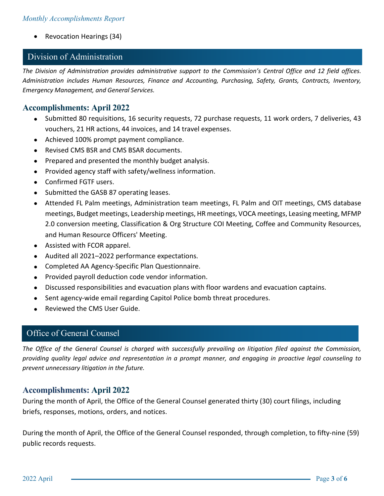• Revocation Hearings (34)

#### Division of Administration

*The Division of Administration provides administrative support to the Commission's Central Office and 12 field offices. Administration includes Human Resources, Finance and Accounting, Purchasing, Safety, Grants, Contracts, Inventory, Emergency Management, and General Services.* 

#### **Accomplishments: April 2022**

- Submitted 80 requisitions, 16 security requests, 72 purchase requests, 11 work orders, 7 deliveries, 43 vouchers, 21 HR actions, 44 invoices, and 14 travel expenses.
- Achieved 100% prompt payment compliance.
- Revised CMS BSR and CMS BSAR documents.
- Prepared and presented the monthly budget analysis.
- Provided agency staff with safety/wellness information.
- Confirmed FGTF users.
- Submitted the GASB 87 operating leases.
- Attended FL Palm meetings, Administration team meetings, FL Palm and OIT meetings, CMS database meetings, Budget meetings, Leadership meetings, HR meetings, VOCA meetings, Leasing meeting, MFMP 2.0 conversion meeting, Classification & Org Structure COI Meeting, Coffee and Community Resources, and Human Resource Officers' Meeting.
- Assisted with FCOR apparel.
- Audited all 2021–2022 performance expectations.
- Completed AA Agency-Specific Plan Questionnaire.
- Provided payroll deduction code vendor information.
- Discussed responsibilities and evacuation plans with floor wardens and evacuation captains.
- Sent agency-wide email regarding Capitol Police bomb threat procedures.
- Reviewed the CMS User Guide.

#### Office of General Counsel

*The Office of the General Counsel is charged with successfully prevailing on litigation filed against the Commission, providing quality legal advice and representation in a prompt manner, and engaging in proactive legal counseling to prevent unnecessary litigation in the future.*

#### **Accomplishments: April 2022**

During the month of April, the Office of the General Counsel generated thirty (30) court filings, including briefs, responses, motions, orders, and notices.

During the month of April, the Office of the General Counsel responded, through completion, to fifty-nine (59) public records requests.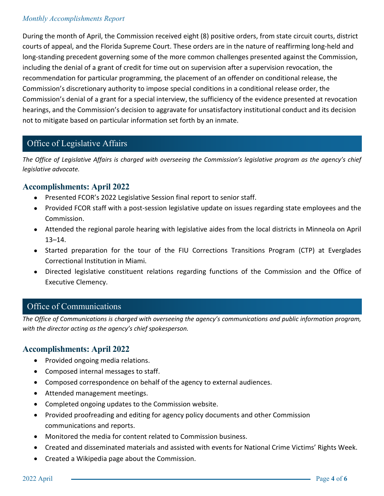#### *Monthly Accomplishments Report*

During the month of April, the Commission received eight (8) positive orders, from state circuit courts, district courts of appeal, and the Florida Supreme Court. These orders are in the nature of reaffirming long-held and long-standing precedent governing some of the more common challenges presented against the Commission, including the denial of a grant of credit for time out on supervision after a supervision revocation, the recommendation for particular programming, the placement of an offender on conditional release, the Commission's discretionary authority to impose special conditions in a conditional release order, the Commission's denial of a grant for a special interview, the sufficiency of the evidence presented at revocation hearings, and the Commission's decision to aggravate for unsatisfactory institutional conduct and its decision not to mitigate based on particular information set forth by an inmate.

# Office of Legislative Affairs

*The Office of Legislative Affairs is charged with overseeing the Commission's legislative program as the agency's chief legislative advocate.* 

## **Accomplishments: April 2022**

- Presented FCOR's 2022 Legislative Session final report to senior staff.
- Provided FCOR staff with a post-session legislative update on issues regarding state employees and the Commission.
- Attended the regional parole hearing with legislative aides from the local districts in Minneola on April 13–14.
- Started preparation for the tour of the FIU Corrections Transitions Program (CTP) at Everglades Correctional Institution in Miami.
- Directed legislative constituent relations regarding functions of the Commission and the Office of Executive Clemency.

# **The Office of Communications is charged with overseeing the agency's communications and public informations and public informations and public informations and public informations and public information program.**

*The Office of Communications is charged with overseeing the agency's communications and public information program, with the director acting as the agency's chief spokesperson.*

## **Accomplishments: April 2022**

- Provided ongoing media relations.
- Composed internal messages to staff.
- Composed correspondence on behalf of the agency to external audiences.
- Attended management meetings.
- Completed ongoing updates to the Commission website.
- Provided proofreading and editing for agency policy documents and other Commission communications and reports.
- Monitored the media for content related to Commission business.
- Created and disseminated materials and assisted with events for National Crime Victims' Rights Week.
- Created a Wikipedia page about the Commission.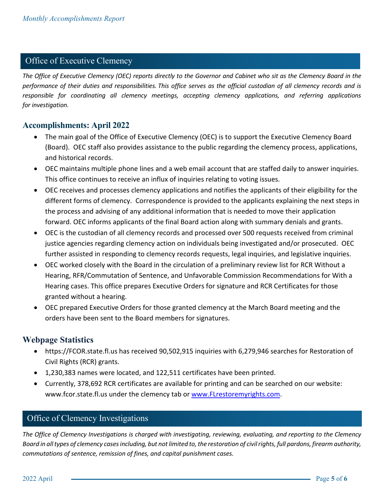## Office of Executive Clemency

*The Office of Executive Clemency (OEC) reports directly to the Governor and Cabinet who sit as the Clemency Board in the performance of their duties and responsibilities. This office serves as the official custodian of all clemency records and is responsible for coordinating all clemency meetings, accepting clemency applications, and referring applications for investigation.* 

## **Accomplishments: April 2022**

- The main goal of the Office of Executive Clemency (OEC) is to support the Executive Clemency Board (Board). OEC staff also provides assistance to the public regarding the clemency process, applications, and historical records.
- OEC maintains multiple phone lines and a web email account that are staffed daily to answer inquiries. This office continues to receive an influx of inquiries relating to voting issues.
- OEC receives and processes clemency applications and notifies the applicants of their eligibility for the different forms of clemency. Correspondence is provided to the applicants explaining the next steps in the process and advising of any additional information that is needed to move their application forward. OEC informs applicants of the final Board action along with summary denials and grants.
- OEC is the custodian of all clemency records and processed over 500 requests received from criminal justice agencies regarding clemency action on individuals being investigated and/or prosecuted. OEC further assisted in responding to clemency records requests, legal inquiries, and legislative inquiries.
- OEC worked closely with the Board in the circulation of a preliminary review list for RCR Without a Hearing, RFR/Commutation of Sentence, and Unfavorable Commission Recommendations for With a Hearing cases. This office prepares Executive Orders for signature and RCR Certificates for those granted without a hearing.
- OEC prepared Executive Orders for those granted clemency at the March Board meeting and the orders have been sent to the Board members for signatures.

## **Webpage Statistics**

- https://FCOR.state.fl.us has received 90,502,915 inquiries with 6,279,946 searches for Restoration of Civil Rights (RCR) grants.
- 1,230,383 names were located, and 122,511 certificates have been printed.
- Currently, 378,692 RCR certificates are available for printing and can be searched on our website: www.fcor.state.fl.us under the clemency tab or [www.FLrestoremyrights.com.](http://www.flrestoremyrights.com/)

# Office of Clemency Investigations

*The Office of Clemency Investigations is charged with investigating, reviewing, evaluating, and reporting to the Clemency Board in all types of clemency cases including, but not limited to, the restoration of civil rights, full pardons, firearm authority, commutations of sentence, remission of fines, and capital punishment cases.*